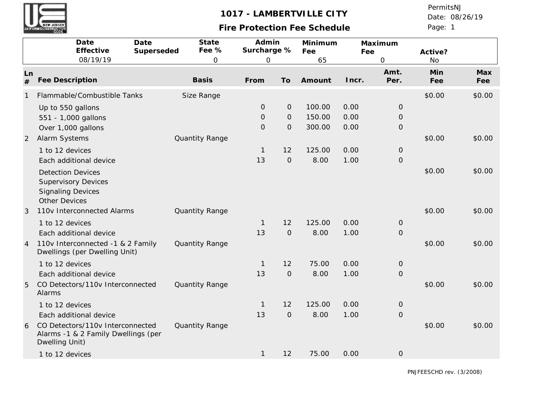# **Fire Protection Fee Schedule**

Page: 1 Date: 08/26/19 PermitsNJ

|                | Date<br>Effective                                                                                          | Date<br>Superseded | State<br>Fee % | Admin<br>Surcharge % |                | Minimum<br>Fee | Fee   | Maximum       | Active?    |            |
|----------------|------------------------------------------------------------------------------------------------------------|--------------------|----------------|----------------------|----------------|----------------|-------|---------------|------------|------------|
|                | 08/19/19                                                                                                   |                    | $\mathbf 0$    | $\mathbf 0$          |                | 65             |       | $\hbox{O}$    | <b>No</b>  |            |
| Ln<br>#        | <b>Fee Description</b>                                                                                     |                    | <b>Basis</b>   | From                 | To             | Amount         | Incr. | Amt.<br>Per.  | Min<br>Fee | Max<br>Fee |
|                | Flammable/Combustible Tanks                                                                                |                    | Size Range     |                      |                |                |       |               | \$0.00     | \$0.00     |
|                | Up to 550 gallons                                                                                          |                    |                | $\mathbf{O}$         | $\mathcal{O}$  | 100.00         | 0.00  | $\mathbf 0$   |            |            |
|                | 551 - 1,000 gallons                                                                                        |                    |                | $\overline{O}$       | $\mathbf{O}$   | 150.00         | 0.00  | $\mathbf 0$   |            |            |
|                | Over 1,000 gallons                                                                                         |                    |                | $\overline{O}$       | $\overline{O}$ | 300.00         | 0.00  | $\mathbf 0$   |            |            |
| 2              | Alarm Systems                                                                                              |                    | Quantity Range |                      |                |                |       |               | \$0.00     | \$0.00     |
|                | 1 to 12 devices                                                                                            |                    |                | 1                    | 12             | 125.00         | 0.00  | $\mathbf 0$   |            |            |
|                | Each additional device                                                                                     |                    |                | 13                   | $\mathcal{O}$  | 8.00           | 1.00  | $\mathbf 0$   |            |            |
|                | <b>Detection Devices</b><br><b>Supervisory Devices</b><br><b>Signaling Devices</b><br><b>Other Devices</b> |                    |                |                      |                |                |       |               | \$0.00     | \$0.00     |
| 3              | 110v Interconnected Alarms                                                                                 |                    | Quantity Range |                      |                |                |       |               | \$0.00     | \$0.00     |
|                | 1 to 12 devices                                                                                            |                    |                | 1                    | 12             | 125.00         | 0.00  | $\circ$       |            |            |
|                | Each additional device                                                                                     |                    |                | 13                   | $\mathcal{O}$  | 8.00           | 1.00  | $\mathcal{O}$ |            |            |
| $\overline{4}$ | 110v Interconnected -1 & 2 Family<br>Dwellings (per Dwelling Unit)                                         |                    | Quantity Range |                      |                |                |       |               | \$0.00     | \$0.00     |
|                | 1 to 12 devices                                                                                            |                    |                | $\mathbf{1}$         | 12             | 75.00          | 0.00  | $\mathbf 0$   |            |            |
|                | Each additional device                                                                                     |                    |                | 13                   | $\mathcal{O}$  | 8.00           | 1.00  | $\mathbf 0$   |            |            |
| 5              | CO Detectors/110v Interconnected<br>Alarms                                                                 |                    | Quantity Range |                      |                |                |       |               | \$0.00     | \$0.00     |
|                | 1 to 12 devices                                                                                            |                    |                | 1                    | 12             | 125.00         | 0.00  | $\mathbf 0$   |            |            |
|                | Each additional device                                                                                     |                    |                | 13                   | $\mathcal{O}$  | 8.00           | 1.00  | $\Omega$      |            |            |
| 6              | CO Detectors/110v Interconnected<br>Alarms -1 & 2 Family Dwellings (per<br>Dwelling Unit)                  |                    | Quantity Range |                      |                |                |       |               | \$0.00     | \$0.00     |
|                | 1 to 12 devices                                                                                            |                    |                | $\mathbf{1}$         | 12             | 75.00          | 0.00  | $\mathbf 0$   |            |            |

PNJFEESCHD rev. (3/2008)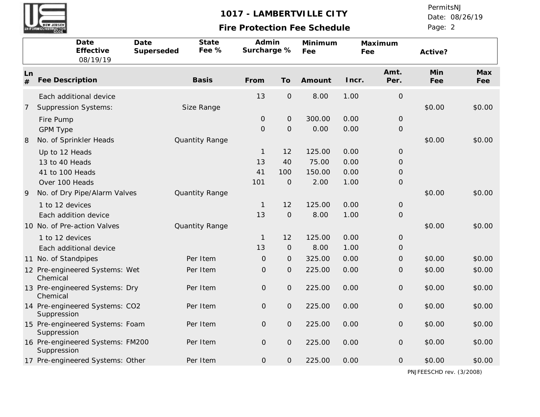

# **Fire Protection Fee Schedule**

Page: 2 Date: 08/26/19 PermitsNJ

|         | Date<br>Effective<br>08/19/19                   | Date<br>Superseded | State<br>Fee % | Admin<br>Surcharge % |                     | Minimum<br>Fee | Fee   | Maximum             | Active?    |            |
|---------|-------------------------------------------------|--------------------|----------------|----------------------|---------------------|----------------|-------|---------------------|------------|------------|
| Ln<br># | <b>Fee Description</b>                          |                    | <b>Basis</b>   | From                 | To                  | Amount         | Incr. | Amt.<br>Per.        | Min<br>Fee | Max<br>Fee |
|         | Each additional device                          |                    |                | 13                   | $\mathcal{O}$       | 8.00           | 1.00  | $\mathbf 0$         |            |            |
| 7       | <b>Suppression Systems:</b>                     |                    | Size Range     |                      |                     |                |       |                     | \$0.00     | \$0.00     |
|         | Fire Pump                                       |                    |                | $\mathbf{O}$         | $\mathsf{O}\xspace$ | 300.00         | 0.00  | $\mathsf{O}\xspace$ |            |            |
|         | <b>GPM Type</b>                                 |                    |                | $\mathbf{O}$         | $\mathbf 0$         | 0.00           | 0.00  | $\mathsf{O}\xspace$ |            |            |
| 8       | No. of Sprinkler Heads                          |                    | Quantity Range |                      |                     |                |       |                     | \$0.00     | \$0.00     |
|         | Up to 12 Heads                                  |                    |                | $\mathbf{1}$         | 12                  | 125.00         | 0.00  | $\mathsf{O}\xspace$ |            |            |
|         | 13 to 40 Heads                                  |                    |                | 13                   | 40                  | 75.00          | 0.00  | $\mathsf O$         |            |            |
|         | 41 to 100 Heads                                 |                    |                | 41                   | 100                 | 150.00         | 0.00  | $\mathsf{O}\xspace$ |            |            |
|         | Over 100 Heads                                  |                    |                | 101                  | $\Omega$            | 2.00           | 1.00  | $\mathsf{O}\xspace$ |            |            |
| 9       | No. of Dry Pipe/Alarm Valves                    |                    | Quantity Range |                      |                     |                |       |                     | \$0.00     | \$0.00     |
|         | 1 to 12 devices                                 |                    |                | $\mathbf{1}$         | 12                  | 125.00         | 0.00  | $\mathsf{O}\xspace$ |            |            |
|         | Each addition device                            |                    |                | 13                   | $\mathbf 0$         | 8.00           | 1.00  | $\mathsf O$         |            |            |
|         | 10 No. of Pre-action Valves                     |                    | Quantity Range |                      |                     |                |       |                     | \$0.00     | \$0.00     |
|         | 1 to 12 devices                                 |                    |                | $\mathbf{1}$         | 12                  | 125.00         | 0.00  | O                   |            |            |
|         | Each additional device                          |                    |                | 13                   | $\mathbf{O}$        | 8.00           | 1.00  | $\mathsf{O}\xspace$ |            |            |
|         | 11 No. of Standpipes                            |                    | Per Item       | $\mathcal{O}$        | $\mathbf{O}$        | 325.00         | 0.00  | $\mathcal{O}$       | \$0.00     | \$0.00     |
|         | 12 Pre-engineered Systems: Wet<br>Chemical      |                    | Per Item       | $\overline{O}$       | $\overline{O}$      | 225.00         | 0.00  | $\mathsf O$         | \$0.00     | \$0.00     |
|         | 13 Pre-engineered Systems: Dry<br>Chemical      |                    | Per Item       | $\mathsf O$          | $\overline{O}$      | 225.00         | 0.00  | $\mathsf O$         | \$0.00     | \$0.00     |
|         | 14 Pre-engineered Systems: CO2<br>Suppression   |                    | Per Item       | $\mathcal{O}$        | $\overline{O}$      | 225.00         | 0.00  | $\mathsf{O}\xspace$ | \$0.00     | \$0.00     |
|         | 15 Pre-engineered Systems: Foam<br>Suppression  |                    | Per Item       | $\overline{O}$       | $\mathcal{O}$       | 225.00         | 0.00  | $\mathsf{O}\xspace$ | \$0.00     | \$0.00     |
|         | 16 Pre-engineered Systems: FM200<br>Suppression |                    | Per Item       | $\mathbf{O}$         | $\mathsf{O}\xspace$ | 225.00         | 0.00  | $\mathsf{O}\xspace$ | \$0.00     | \$0.00     |
|         | 17 Pre-engineered Systems: Other                |                    | Per Item       | $\mathsf O$          | $\mathsf O$         | 225.00         | 0.00  | $\mathsf O$         | \$0.00     | \$0.00     |

PNJFEESCHD rev. (3/2008)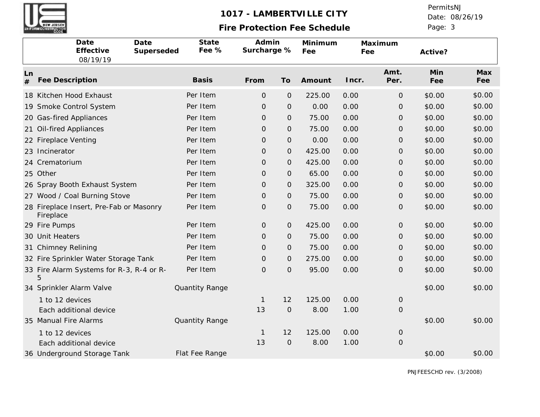

# **Fire Protection Fee Schedule**

Page: 3 Date: 08/26/19 PermitsNJ

| Date<br>Date<br>Effective<br>Superseded<br>08/19/19  | State<br>Fee % | Admin<br>Surcharge % |                | Minimum<br>Fee | Fee   | Maximum             | Active?    |            |
|------------------------------------------------------|----------------|----------------------|----------------|----------------|-------|---------------------|------------|------------|
| Ln<br>Fee Description<br>#                           | <b>Basis</b>   | From                 | To             | Amount         | Incr. | Amt.<br>Per.        | Min<br>Fee | Max<br>Fee |
| 18 Kitchen Hood Exhaust                              | Per Item       | $\mathcal{O}$        | $\mathbf{O}$   | 225.00         | 0.00  | $\mathsf O$         | \$0.00     | \$0.00     |
| 19 Smoke Control System                              | Per Item       | $\Omega$             | $\mathbf{O}$   | 0.00           | 0.00  | O                   | \$0.00     | \$0.00     |
| 20 Gas-fired Appliances                              | Per Item       | $\Omega$             | $\mathbf{O}$   | 75.00          | 0.00  | O                   | \$0.00     | \$0.00     |
| <b>Oil-fired Appliances</b><br>21                    | Per Item       | $\mathcal{O}$        | $\overline{O}$ | 75.00          | 0.00  | $\mathcal{O}$       | \$0.00     | \$0.00     |
| 22 Fireplace Venting                                 | Per Item       | $\overline{O}$       | $\mathbf{O}$   | 0.00           | 0.00  | O                   | \$0.00     | \$0.00     |
| 23 Incinerator                                       | Per Item       | $\mathsf{O}\xspace$  | $\mathbf{O}$   | 425.00         | 0.00  | $\mathsf{O}\xspace$ | \$0.00     | \$0.00     |
| 24 Crematorium                                       | Per Item       | $\mathsf{O}\xspace$  | $\mathbf{O}$   | 425.00         | 0.00  | 0                   | \$0.00     | \$0.00     |
| 25 Other                                             | Per Item       | $\mathsf{O}\xspace$  | $\overline{O}$ | 65.00          | 0.00  | $\mathsf{O}\xspace$ | \$0.00     | \$0.00     |
| Spray Booth Exhaust System<br>26                     | Per Item       | $\mathbf{O}$         | $\mathbf{O}$   | 325.00         | 0.00  | O                   | \$0.00     | \$0.00     |
| 27 Wood / Coal Burning Stove                         | Per Item       | $\mathbf{O}$         | $\mathbf{O}$   | 75.00          | 0.00  | O                   | \$0.00     | \$0.00     |
| 28 Fireplace Insert, Pre-Fab or Masonry<br>Fireplace | Per Item       | $\mathsf O$          | $\mathbf{O}$   | 75.00          | 0.00  | $\mathsf O$         | \$0.00     | \$0.00     |
| 29 Fire Pumps                                        | Per Item       | $\mathcal{O}$        | $\mathbf{O}$   | 425.00         | 0.00  | $\mathsf{O}\xspace$ | \$0.00     | \$0.00     |
| 30 Unit Heaters                                      | Per Item       | $\Omega$             | $\mathbf{O}$   | 75.00          | 0.00  | O                   | \$0.00     | \$0.00     |
| <b>Chimney Relining</b><br>31                        | Per Item       | $\mathsf{O}\xspace$  | $\overline{O}$ | 75.00          | 0.00  | $\mathsf{O}\xspace$ | \$0.00     | \$0.00     |
| 32 Fire Sprinkler Water Storage Tank                 | Per Item       | $\mathsf{O}\xspace$  | $\mathbf{O}$   | 275.00         | 0.00  | O                   | \$0.00     | \$0.00     |
| 33 Fire Alarm Systems for R-3, R-4 or R-<br>5        | Per Item       | $\mathsf{O}\xspace$  | $\mathbf{O}$   | 95.00          | 0.00  | $\mathsf{O}\xspace$ | \$0.00     | \$0.00     |
| 34 Sprinkler Alarm Valve                             | Quantity Range |                      |                |                |       |                     | \$0.00     | \$0.00     |
| 1 to 12 devices                                      |                | $\mathbf{1}$         | 12             | 125.00         | 0.00  | $\mathsf{O}\xspace$ |            |            |
| Each additional device                               |                | 13                   | $\mathbf{O}$   | 8.00           | 1.00  | 0                   |            |            |
| 35 Manual Fire Alarms                                | Quantity Range |                      |                |                |       |                     | \$0.00     | \$0.00     |
| 1 to 12 devices                                      |                | $\mathbf{1}$         | 12             | 125.00         | 0.00  | O                   |            |            |
| Each additional device                               |                | 13                   | $\mathbf{O}$   | 8.00           | 1.00  | $\mathsf O$         |            |            |
| 36 Underground Storage Tank                          | Flat Fee Range |                      |                |                |       |                     | \$0.00     | \$0.00     |

PNJFEESCHD rev. (3/2008)